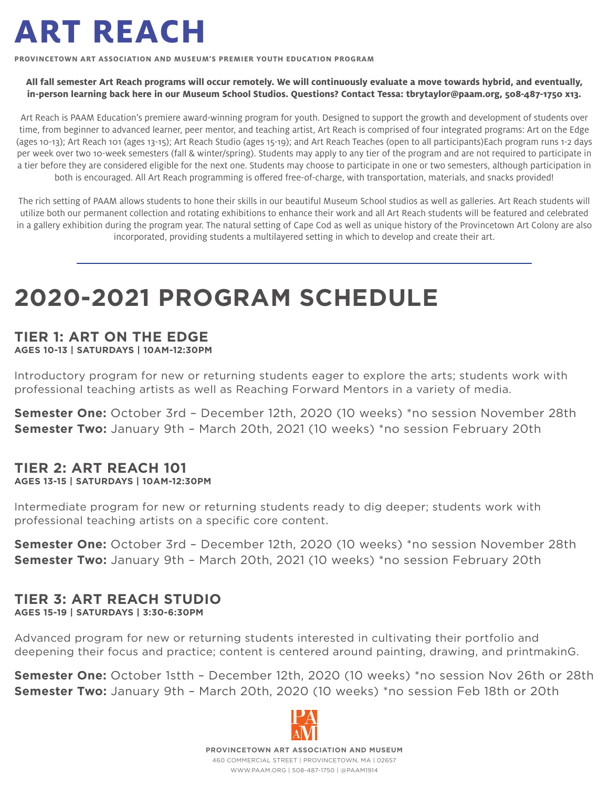# **ART REACH**

**PROVINCETOWN ART ASSOCIATION AND MUSEUM'S PREMIER YOUTH EDUCATION PROGRAM**

#### **All fall semester Art Reach programs will occur remotely. We will continuously evaluate a move towards hybrid, and eventually, in-person learning back here in our Museum School Studios. Questions? Contact Tessa: tbrytaylor@paam.org, 508-487-1750 x13.**

Art Reach is PAAM Education's premiere award-winning program for youth. Designed to support the growth and development of students over time, from beginner to advanced learner, peer mentor, and teaching artist, Art Reach is comprised of four integrated programs: Art on the Edge (ages 10-13); Art Reach 101 (ages 13-15); Art Reach Studio (ages 15-19); and Art Reach Teaches (open to all participants)Each program runs 1-2 days per week over two 10-week semesters (fall & winter/spring). Students may apply to any tier of the program and are not required to participate in a tier before they are considered eligible for the next one. Students may choose to participate in one or two semesters, although participation in both is encouraged. All Art Reach programming is offered free-of-charge, with transportation, materials, and snacks provided!

The rich setting of PAAM allows students to hone their skills in our beautiful Museum School studios as well as galleries. Art Reach students will utilize both our permanent collection and rotating exhibitions to enhance their work and all Art Reach students will be featured and celebrated in a gallery exhibition during the program year. The natural setting of Cape Cod as well as unique history of the Provincetown Art Colony are also incorporated, providing students a multilayered setting in which to develop and create their art.

## **2020-2021 PROGRAM SCHEDULE**

### **TIER 1: ART ON THE EDGE**

**AGES 10-13 | SATURDAYS | 10AM-12:30PM**

Introductory program for new or returning students eager to explore the arts; students work with professional teaching artists as well as Reaching Forward Mentors in a variety of media.

**Semester One:** October 3rd – December 12th, 2020 (10 weeks) \*no session November 28th **Semester Two:** January 9th – March 20th, 2021 (10 weeks) \*no session February 20th

#### **TIER 2: ART REACH 101 AGES 13-15 | SATURDAYS | 10AM-12:30PM**

Intermediate program for new or returning students ready to dig deeper; students work with professional teaching artists on a specific core content.

**Semester One:** October 3rd – December 12th, 2020 (10 weeks) \*no session November 28th **Semester Two:** January 9th – March 20th, 2021 (10 weeks) \*no session February 20th

### **TIER 3: ART REACH STUDIO**

**AGES 15-19 | SATURDAYS | 3:30-6:30PM**

Advanced program for new or returning students interested in cultivating their portfolio and deepening their focus and practice; content is centered around painting, drawing, and printmakinG.

**Semester One:** October 1stth – December 12th, 2020 (10 weeks) \*no session Nov 26th or 28th **Semester Two:** January 9th – March 20th, 2020 (10 weeks) \*no session Feb 18th or 20th

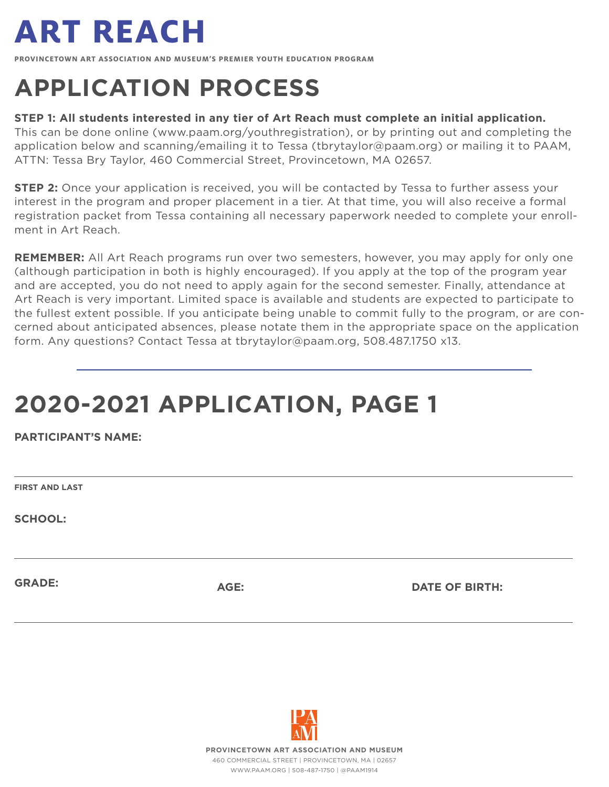# **ART REACH**

**PROVINCETOWN ART ASSOCIATION AND MUSEUM'S PREMIER YOUTH EDUCATION PROGRAM**

## **APPLICATION PROCESS**

#### **STEP 1: All students interested in any tier of Art Reach must complete an initial application.**

This can be done online (www.paam.org/youthregistration), or by printing out and completing the application below and scanning/emailing it to Tessa (tbrytaylor@paam.org) or mailing it to PAAM, ATTN: Tessa Bry Taylor, 460 Commercial Street, Provincetown, MA 02657.

**STEP 2:** Once your application is received, you will be contacted by Tessa to further assess your interest in the program and proper placement in a tier. At that time, you will also receive a formal registration packet from Tessa containing all necessary paperwork needed to complete your enrollment in Art Reach.

**REMEMBER:** All Art Reach programs run over two semesters, however, you may apply for only one (although participation in both is highly encouraged). If you apply at the top of the program year and are accepted, you do not need to apply again for the second semester. Finally, attendance at Art Reach is very important. Limited space is available and students are expected to participate to the fullest extent possible. If you anticipate being unable to commit fully to the program, or are concerned about anticipated absences, please notate them in the appropriate space on the application form. Any questions? Contact Tessa at tbrytaylor@paam.org, 508.487.1750 x13.

## **2020-2021 APPLICATION, PAGE 1**

**PARTICIPANT'S NAME:**

**FIRST AND LAST SCHOOL: GRADE: AGE: DATE OF BIRTH:**

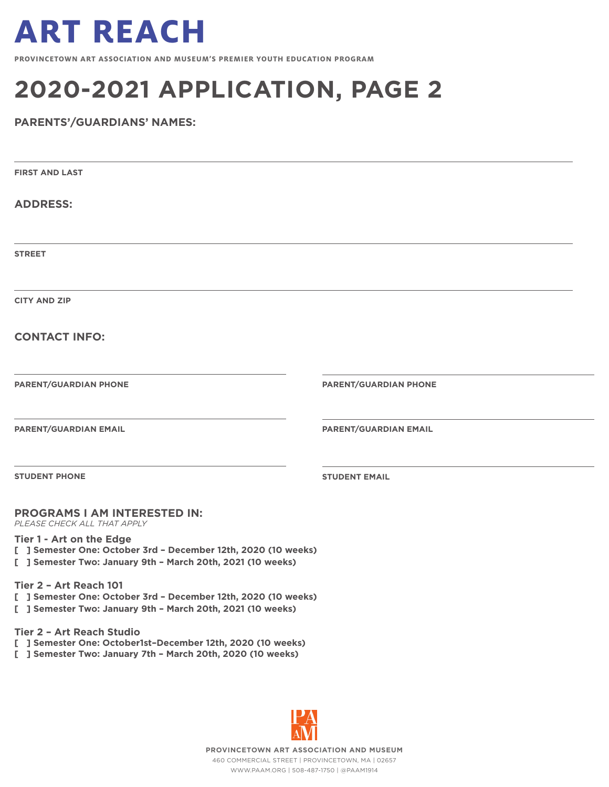

**PROVINCETOWN ART ASSOCIATION AND MUSEUM'S PREMIER YOUTH EDUCATION PROGRAM**

### **2020-2021 APPLICATION, PAGE 2**

**PARENTS'/GUARDIANS' NAMES:**

| <b>FIRST AND LAST</b>                                                                                                                                     |                              |
|-----------------------------------------------------------------------------------------------------------------------------------------------------------|------------------------------|
| <b>ADDRESS:</b>                                                                                                                                           |                              |
| <b>STREET</b>                                                                                                                                             |                              |
| <b>CITY AND ZIP</b>                                                                                                                                       |                              |
| <b>CONTACT INFO:</b>                                                                                                                                      |                              |
| <b>PARENT/GUARDIAN PHONE</b>                                                                                                                              | <b>PARENT/GUARDIAN PHONE</b> |
| PARENT/GUARDIAN EMAIL                                                                                                                                     | <b>PARENT/GUARDIAN EMAIL</b> |
| <b>STUDENT PHONE</b>                                                                                                                                      | <b>STUDENT EMAIL</b>         |
| <b>PROGRAMS I AM INTERESTED IN:</b><br>PLEASE CHECK ALL THAT APPLY                                                                                        |                              |
| Tier 1 - Art on the Edge<br>[ ] Semester One: October 3rd - December 12th, 2020 (10 weeks)<br>[ ] Semester Two: January 9th - March 20th, 2021 (10 weeks) |                              |
| Tier 2 - Art Reach 101<br>[ ] Semester One: October 3rd - December 12th, 2020 (10 weeks)<br>[ ] Semester Two: January 9th - March 20th, 2021 (10 weeks)   |                              |
| Tier 2 - Art Reach Studio<br>[ ] Semester One: October1st-December 12th, 2020 (10 weeks)<br>[ ] Semester Two: January 7th - March 20th, 2020 (10 weeks)   |                              |
|                                                                                                                                                           |                              |
|                                                                                                                                                           |                              |